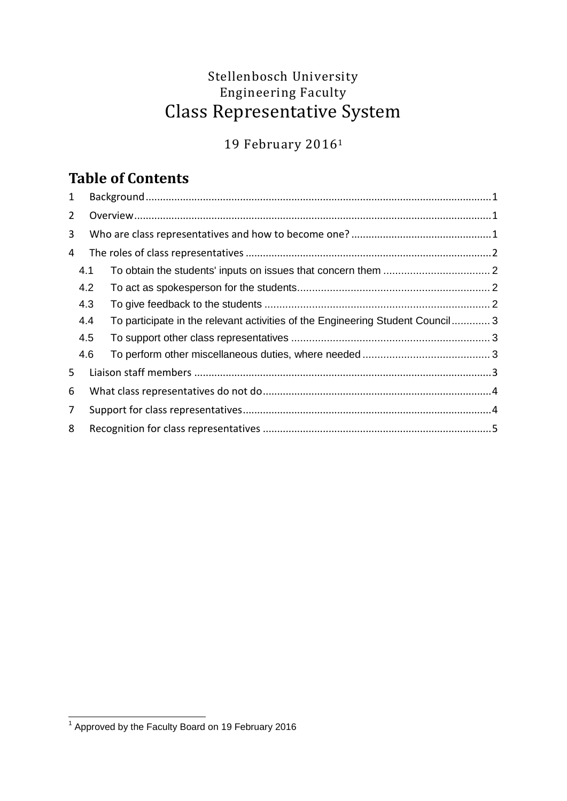## Stellenbosch University Engineering Faculty Class Representative System

19 February 2016<sup>1</sup>

# **Table of Contents**

| 1              |     |  |                                                                                |  |
|----------------|-----|--|--------------------------------------------------------------------------------|--|
| $\overline{2}$ |     |  |                                                                                |  |
| 3              |     |  |                                                                                |  |
| 4              |     |  |                                                                                |  |
|                | 4.1 |  |                                                                                |  |
|                | 4.2 |  |                                                                                |  |
|                | 4.3 |  |                                                                                |  |
|                | 4.4 |  | To participate in the relevant activities of the Engineering Student Council 3 |  |
|                | 4.5 |  |                                                                                |  |
|                | 4.6 |  |                                                                                |  |
| 5              |     |  |                                                                                |  |
| 6              |     |  |                                                                                |  |
| 7              |     |  |                                                                                |  |
| 8              |     |  |                                                                                |  |

 1 Approved by the Faculty Board on 19 February 2016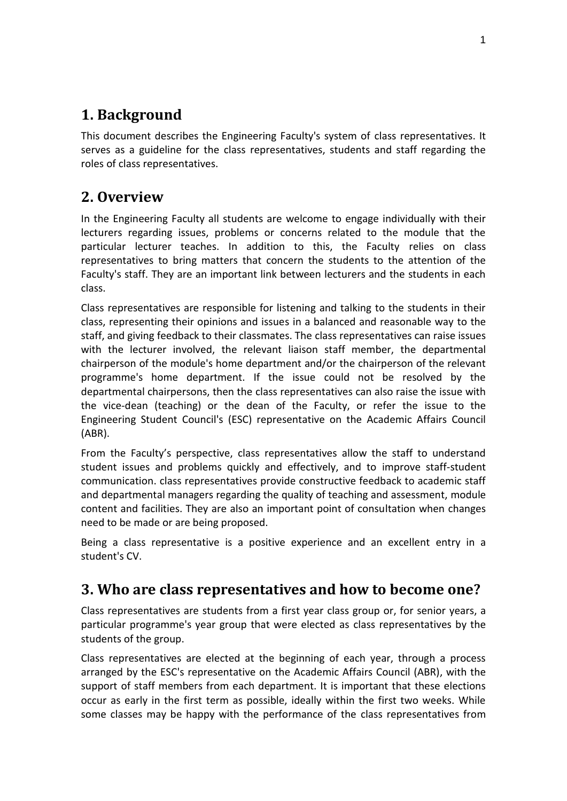## <span id="page-1-0"></span>**1. Background**

This document describes the Engineering Faculty's system of class representatives. It serves as a guideline for the class representatives, students and staff regarding the roles of class representatives.

## <span id="page-1-1"></span>**2. Overview**

In the Engineering Faculty all students are welcome to engage individually with their lecturers regarding issues, problems or concerns related to the module that the particular lecturer teaches. In addition to this, the Faculty relies on class representatives to bring matters that concern the students to the attention of the Faculty's staff. They are an important link between lecturers and the students in each class.

Class representatives are responsible for listening and talking to the students in their class, representing their opinions and issues in a balanced and reasonable way to the staff, and giving feedback to their classmates. The class representatives can raise issues with the lecturer involved, the relevant liaison staff member, the departmental chairperson of the module's home department and/or the chairperson of the relevant programme's home department. If the issue could not be resolved by the departmental chairpersons, then the class representatives can also raise the issue with the vice-dean (teaching) or the dean of the Faculty, or refer the issue to the Engineering Student Council's (ESC) representative on the Academic Affairs Council (ABR).

From the Faculty's perspective, class representatives allow the staff to understand student issues and problems quickly and effectively, and to improve staff-student communication. class representatives provide constructive feedback to academic staff and departmental managers regarding the quality of teaching and assessment, module content and facilities. They are also an important point of consultation when changes need to be made or are being proposed.

Being a class representative is a positive experience and an excellent entry in a student's CV.

## <span id="page-1-2"></span>**3. Who are class representatives and how to become one?**

Class representatives are students from a first year class group or, for senior years, a particular programme's year group that were elected as class representatives by the students of the group.

Class representatives are elected at the beginning of each year, through a process arranged by the ESC's representative on the Academic Affairs Council (ABR), with the support of staff members from each department. It is important that these elections occur as early in the first term as possible, ideally within the first two weeks. While some classes may be happy with the performance of the class representatives from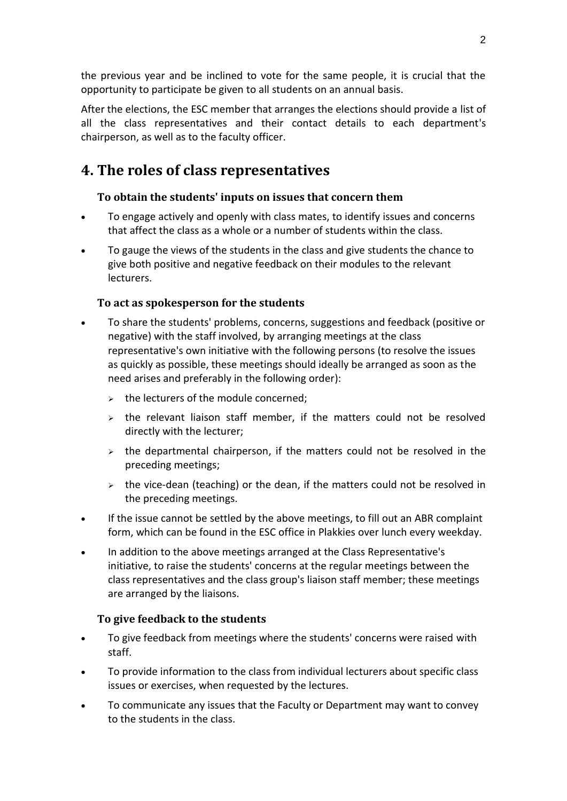the previous year and be inclined to vote for the same people, it is crucial that the opportunity to participate be given to all students on an annual basis.

After the elections, the ESC member that arranges the elections should provide a list of all the class representatives and their contact details to each department's chairperson, as well as to the faculty officer.

## <span id="page-2-0"></span>**4. The roles of class representatives**

### <span id="page-2-1"></span>**To obtain the students' inputs on issues that concern them**

- To engage actively and openly with class mates, to identify issues and concerns that affect the class as a whole or a number of students within the class.
- To gauge the views of the students in the class and give students the chance to give both positive and negative feedback on their modules to the relevant lecturers.

### <span id="page-2-2"></span>**To act as spokesperson for the students**

- To share the students' problems, concerns, suggestions and feedback (positive or negative) with the staff involved, by arranging meetings at the class representative's own initiative with the following persons (to resolve the issues as quickly as possible, these meetings should ideally be arranged as soon as the need arises and preferably in the following order):
	- $\geq$  the lecturers of the module concerned;
	- $\rightarrow$  the relevant liaison staff member, if the matters could not be resolved directly with the lecturer;
	- $\triangleright$  the departmental chairperson, if the matters could not be resolved in the preceding meetings;
	- $\rightarrow$  the vice-dean (teaching) or the dean, if the matters could not be resolved in the preceding meetings.
- If the issue cannot be settled by the above meetings, to fill out an ABR complaint form, which can be found in the ESC office in Plakkies over lunch every weekday.
- In addition to the above meetings arranged at the Class Representative's initiative, to raise the students' concerns at the regular meetings between the class representatives and the class group's liaison staff member; these meetings are arranged by the liaisons.

#### <span id="page-2-3"></span>**To give feedback to the students**

- To give feedback from meetings where the students' concerns were raised with staff.
- To provide information to the class from individual lecturers about specific class issues or exercises, when requested by the lectures.
- To communicate any issues that the Faculty or Department may want to convey to the students in the class.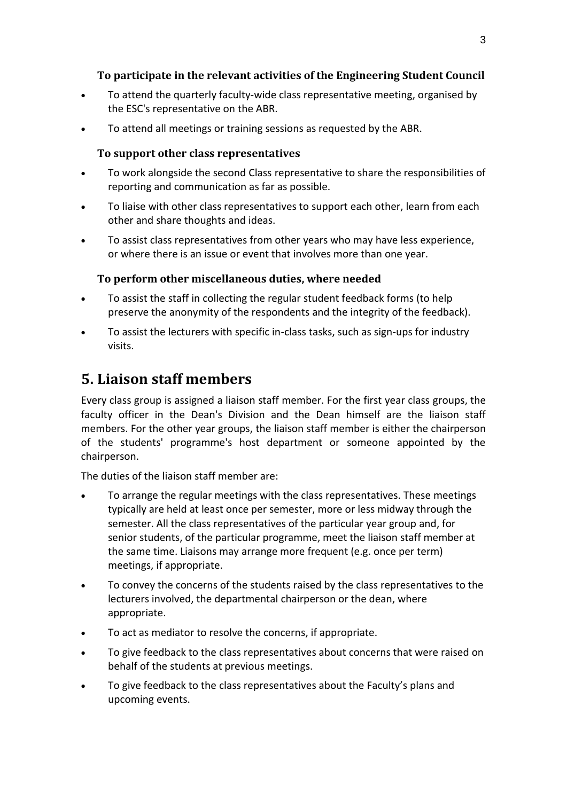### <span id="page-3-0"></span>**To participate in the relevant activities of the Engineering Student Council**

- To attend the quarterly faculty-wide class representative meeting, organised by the ESC's representative on the ABR.
- <span id="page-3-1"></span>To attend all meetings or training sessions as requested by the ABR.

### **To support other class representatives**

- To work alongside the second Class representative to share the responsibilities of reporting and communication as far as possible.
- To liaise with other class representatives to support each other, learn from each other and share thoughts and ideas.
- To assist class representatives from other years who may have less experience, or where there is an issue or event that involves more than one year.

### <span id="page-3-2"></span>**To perform other miscellaneous duties, where needed**

- To assist the staff in collecting the regular student feedback forms (to help preserve the anonymity of the respondents and the integrity of the feedback).
- To assist the lecturers with specific in-class tasks, such as sign-ups for industry visits.

## <span id="page-3-3"></span>**5. Liaison staff members**

Every class group is assigned a liaison staff member. For the first year class groups, the faculty officer in the Dean's Division and the Dean himself are the liaison staff members. For the other year groups, the liaison staff member is either the chairperson of the students' programme's host department or someone appointed by the chairperson.

The duties of the liaison staff member are:

- To arrange the regular meetings with the class representatives. These meetings typically are held at least once per semester, more or less midway through the semester. All the class representatives of the particular year group and, for senior students, of the particular programme, meet the liaison staff member at the same time. Liaisons may arrange more frequent (e.g. once per term) meetings, if appropriate.
- To convey the concerns of the students raised by the class representatives to the lecturers involved, the departmental chairperson or the dean, where appropriate.
- To act as mediator to resolve the concerns, if appropriate.
- To give feedback to the class representatives about concerns that were raised on behalf of the students at previous meetings.
- To give feedback to the class representatives about the Faculty's plans and upcoming events.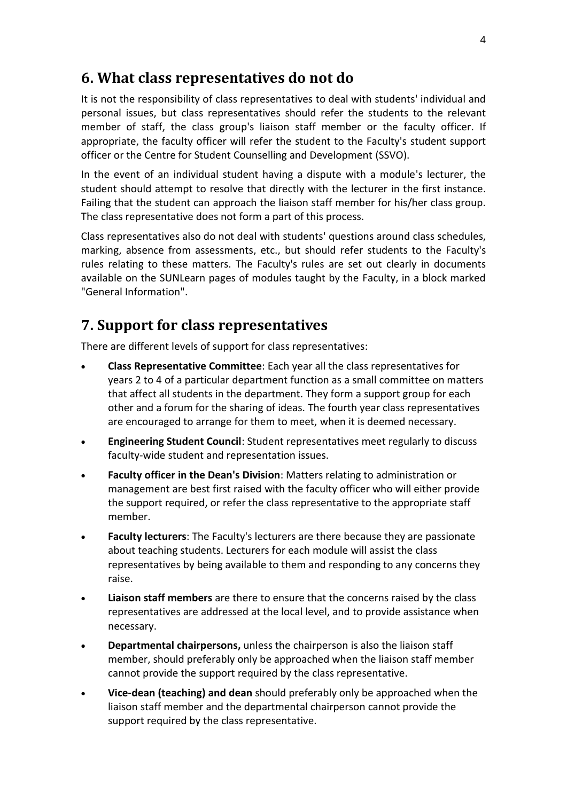### <span id="page-4-0"></span>**6. What class representatives do not do**

It is not the responsibility of class representatives to deal with students' individual and personal issues, but class representatives should refer the students to the relevant member of staff, the class group's liaison staff member or the faculty officer. If appropriate, the faculty officer will refer the student to the Faculty's student support officer or the Centre for Student Counselling and Development (SSVO).

In the event of an individual student having a dispute with a module's lecturer, the student should attempt to resolve that directly with the lecturer in the first instance. Failing that the student can approach the liaison staff member for his/her class group. The class representative does not form a part of this process.

Class representatives also do not deal with students' questions around class schedules, marking, absence from assessments, etc., but should refer students to the Faculty's rules relating to these matters. The Faculty's rules are set out clearly in documents available on the SUNLearn pages of modules taught by the Faculty, in a block marked "General Information".

### <span id="page-4-1"></span>**7. Support for class representatives**

There are different levels of support for class representatives:

- **Class Representative Committee**: Each year all the class representatives for years 2 to 4 of a particular department function as a small committee on matters that affect all students in the department. They form a support group for each other and a forum for the sharing of ideas. The fourth year class representatives are encouraged to arrange for them to meet, when it is deemed necessary.
- **Engineering Student Council**: Student representatives meet regularly to discuss faculty-wide student and representation issues.
- **Faculty officer in the Dean's Division**: Matters relating to administration or management are best first raised with the faculty officer who will either provide the support required, or refer the class representative to the appropriate staff member.
- **Faculty lecturers**: The Faculty's lecturers are there because they are passionate about teaching students. Lecturers for each module will assist the class representatives by being available to them and responding to any concerns they raise.
- **Liaison staff members** are there to ensure that the concerns raised by the class representatives are addressed at the local level, and to provide assistance when necessary.
- **Departmental chairpersons,** unless the chairperson is also the liaison staff member, should preferably only be approached when the liaison staff member cannot provide the support required by the class representative.
- **Vice-dean (teaching) and dean** should preferably only be approached when the liaison staff member and the departmental chairperson cannot provide the support required by the class representative.